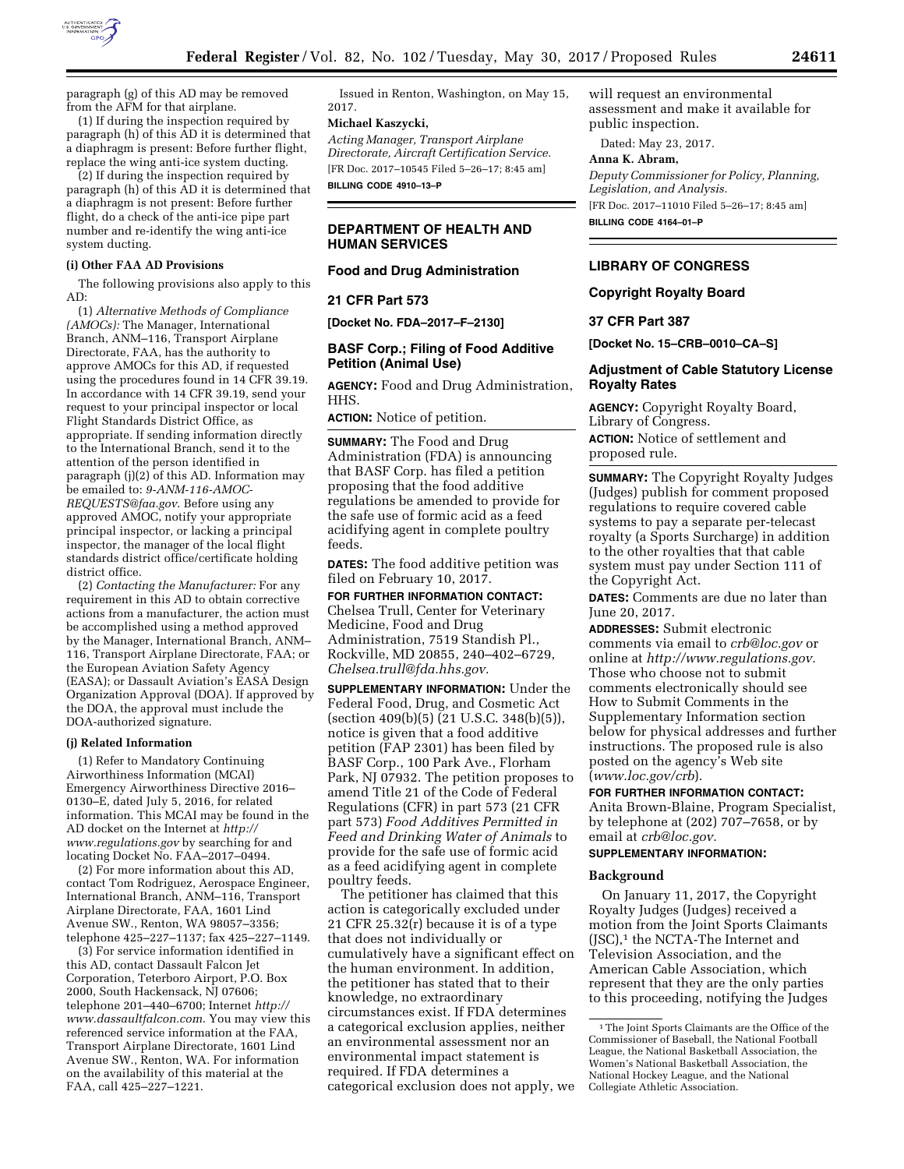

paragraph (g) of this AD may be removed from the AFM for that airplane.

(1) If during the inspection required by paragraph (h) of this AD it is determined that a diaphragm is present: Before further flight, replace the wing anti-ice system ducting.

(2) If during the inspection required by paragraph (h) of this AD it is determined that a diaphragm is not present: Before further flight, do a check of the anti-ice pipe part number and re-identify the wing anti-ice system ducting.

# **(i) Other FAA AD Provisions**

The following provisions also apply to this AD:

(1) *Alternative Methods of Compliance (AMOCs):* The Manager, International Branch, ANM–116, Transport Airplane Directorate, FAA, has the authority to approve AMOCs for this AD, if requested using the procedures found in 14 CFR 39.19. In accordance with 14 CFR 39.19, send your request to your principal inspector or local Flight Standards District Office, as appropriate. If sending information directly to the International Branch, send it to the attention of the person identified in paragraph (j)(2) of this AD. Information may be emailed to: *[9-ANM-116-AMOC-](mailto:9-ANM-116-AMOC-REQUESTS@faa.gov)[REQUESTS@faa.gov](mailto:9-ANM-116-AMOC-REQUESTS@faa.gov)*. Before using any approved AMOC, notify your appropriate principal inspector, or lacking a principal inspector, the manager of the local flight standards district office/certificate holding district office.

(2) *Contacting the Manufacturer:* For any requirement in this AD to obtain corrective actions from a manufacturer, the action must be accomplished using a method approved by the Manager, International Branch, ANM– 116, Transport Airplane Directorate, FAA; or the European Aviation Safety Agency (EASA); or Dassault Aviation's EASA Design Organization Approval (DOA). If approved by the DOA, the approval must include the DOA-authorized signature.

#### **(j) Related Information**

(1) Refer to Mandatory Continuing Airworthiness Information (MCAI) Emergency Airworthiness Directive 2016– 0130–E, dated July 5, 2016, for related information. This MCAI may be found in the AD docket on the Internet at *[http://](http://www.regulations.gov) [www.regulations.gov](http://www.regulations.gov)* by searching for and locating Docket No. FAA–2017–0494.

(2) For more information about this AD, contact Tom Rodriguez, Aerospace Engineer, International Branch, ANM–116, Transport Airplane Directorate, FAA, 1601 Lind Avenue SW., Renton, WA 98057–3356; telephone 425–227–1137; fax 425–227–1149.

(3) For service information identified in this AD, contact Dassault Falcon Jet Corporation, Teterboro Airport, P.O. Box 2000, South Hackensack, NJ 07606; telephone 201–440–6700; Internet *[http://](http://www.dassaultfalcon.com) [www.dassaultfalcon.com](http://www.dassaultfalcon.com)*. You may view this referenced service information at the FAA, Transport Airplane Directorate, 1601 Lind Avenue SW., Renton, WA. For information on the availability of this material at the FAA, call 425–227–1221.

Issued in Renton, Washington, on May 15, 2017.

# **Michael Kaszycki,**

*Acting Manager, Transport Airplane Directorate, Aircraft Certification Service.*  [FR Doc. 2017–10545 Filed 5–26–17; 8:45 am]

**BILLING CODE 4910–13–P** 

## **DEPARTMENT OF HEALTH AND HUMAN SERVICES**

### **Food and Drug Administration**

## **21 CFR Part 573**

**[Docket No. FDA–2017–F–2130]** 

## **BASF Corp.; Filing of Food Additive Petition (Animal Use)**

**AGENCY:** Food and Drug Administration, HHS.

**ACTION:** Notice of petition.

**SUMMARY:** The Food and Drug Administration (FDA) is announcing that BASF Corp. has filed a petition proposing that the food additive regulations be amended to provide for the safe use of formic acid as a feed acidifying agent in complete poultry feeds.

**DATES:** The food additive petition was filed on February 10, 2017.

**FOR FURTHER INFORMATION CONTACT:**  Chelsea Trull, Center for Veterinary Medicine, Food and Drug Administration, 7519 Standish Pl., Rockville, MD 20855, 240–402–6729, *[Chelsea.trull@fda.hhs.gov.](mailto:Chelsea.trull@fda.hhs.gov)* 

**SUPPLEMENTARY INFORMATION:** Under the Federal Food, Drug, and Cosmetic Act (section 409(b)(5) (21 U.S.C. 348(b)(5)), notice is given that a food additive petition (FAP 2301) has been filed by BASF Corp., 100 Park Ave., Florham Park, NJ 07932. The petition proposes to amend Title 21 of the Code of Federal Regulations (CFR) in part 573 (21 CFR part 573) *Food Additives Permitted in Feed and Drinking Water of Animals* to provide for the safe use of formic acid as a feed acidifying agent in complete poultry feeds.

The petitioner has claimed that this action is categorically excluded under 21 CFR 25.32(r) because it is of a type that does not individually or cumulatively have a significant effect on the human environment. In addition, the petitioner has stated that to their knowledge, no extraordinary circumstances exist. If FDA determines a categorical exclusion applies, neither an environmental assessment nor an environmental impact statement is required. If FDA determines a categorical exclusion does not apply, we will request an environmental assessment and make it available for public inspection.

Dated: May 23, 2017.

# **Anna K. Abram,**

*Deputy Commissioner for Policy, Planning, Legislation, and Analysis.*  [FR Doc. 2017–11010 Filed 5–26–17; 8:45 am] **BILLING CODE 4164–01–P** 

# **LIBRARY OF CONGRESS**

## **Copyright Royalty Board**

### **37 CFR Part 387**

**[Docket No. 15–CRB–0010–CA–S]** 

### **Adjustment of Cable Statutory License Royalty Rates**

**AGENCY:** Copyright Royalty Board, Library of Congress. **ACTION:** Notice of settlement and proposed rule.

**SUMMARY:** The Copyright Royalty Judges (Judges) publish for comment proposed regulations to require covered cable systems to pay a separate per-telecast royalty (a Sports Surcharge) in addition to the other royalties that that cable system must pay under Section 111 of the Copyright Act.

**DATES:** Comments are due no later than June 20, 2017.

**ADDRESSES:** Submit electronic comments via email to *[crb@loc.gov](mailto:crb@loc.gov)* or online at *[http://www.regulations.gov.](http://www.regulations.gov)*  Those who choose not to submit comments electronically should see How to Submit Comments in the Supplementary Information section below for physical addresses and further instructions. The proposed rule is also posted on the agency's Web site (*[www.loc.gov/crb](http://www.loc.gov/crb)*).

# **FOR FURTHER INFORMATION CONTACT:**

Anita Brown-Blaine, Program Specialist, by telephone at (202) 707–7658, or by email at *[crb@loc.gov.](mailto:crb@loc.gov)* 

## **SUPPLEMENTARY INFORMATION:**

### **Background**

On January 11, 2017, the Copyright Royalty Judges (Judges) received a motion from the Joint Sports Claimants (JSC),<sup>1</sup> the NCTA-The Internet and Television Association, and the American Cable Association, which represent that they are the only parties to this proceeding, notifying the Judges

<sup>&</sup>lt;sup>1</sup>The Joint Sports Claimants are the Office of the Commissioner of Baseball, the National Football League, the National Basketball Association, the Women's National Basketball Association, the National Hockey League, and the National Collegiate Athletic Association.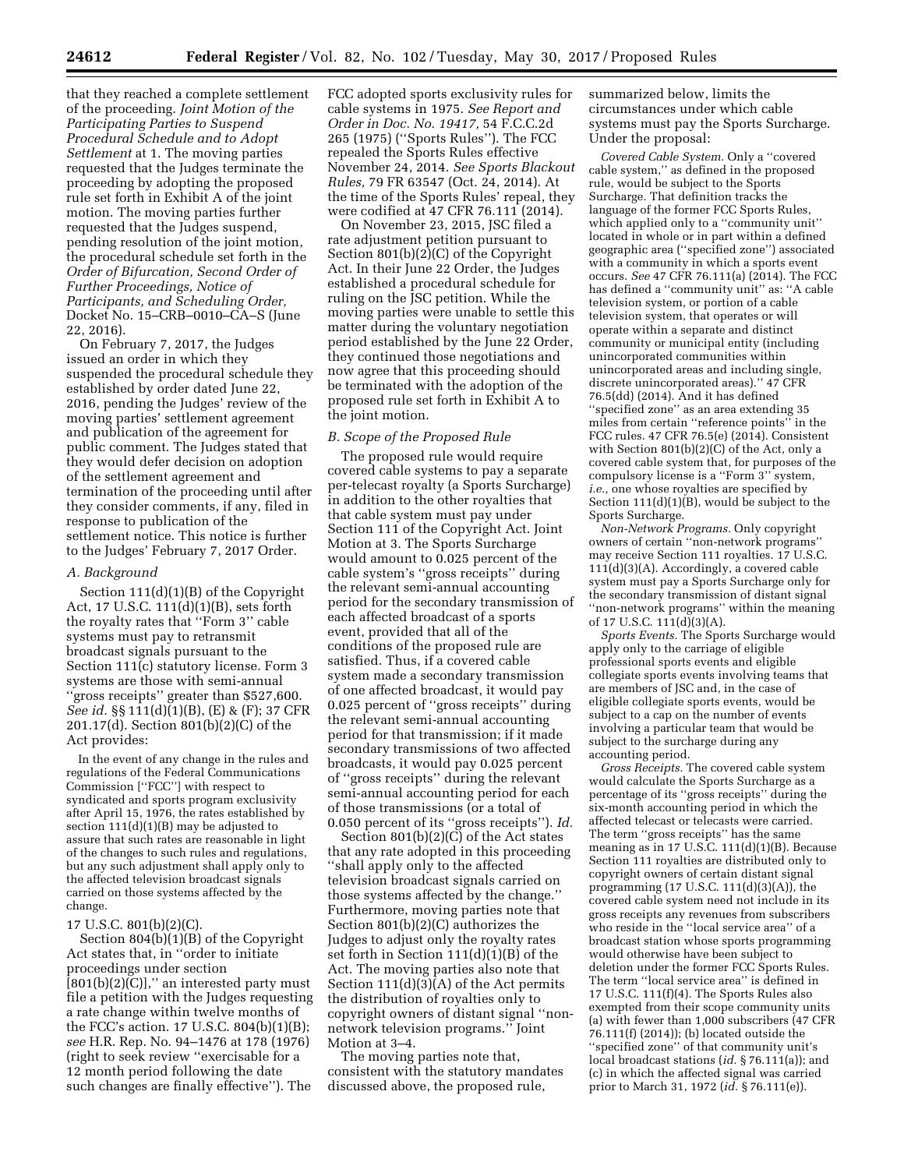that they reached a complete settlement of the proceeding. *Joint Motion of the Participating Parties to Suspend Procedural Schedule and to Adopt Settlement* at 1. The moving parties requested that the Judges terminate the proceeding by adopting the proposed rule set forth in Exhibit A of the joint motion. The moving parties further requested that the Judges suspend, pending resolution of the joint motion, the procedural schedule set forth in the *Order of Bifurcation, Second Order of Further Proceedings, Notice of Participants, and Scheduling Order,*  Docket No. 15–CRB–0010–CA–S (June 22, 2016).

On February 7, 2017, the Judges issued an order in which they suspended the procedural schedule they established by order dated June 22, 2016, pending the Judges' review of the moving parties' settlement agreement and publication of the agreement for public comment. The Judges stated that they would defer decision on adoption of the settlement agreement and termination of the proceeding until after they consider comments, if any, filed in response to publication of the settlement notice. This notice is further to the Judges' February 7, 2017 Order.

### *A. Background*

Section 111(d)(1)(B) of the Copyright Act, 17 U.S.C. 111(d)(1)(B), sets forth the royalty rates that ''Form 3'' cable systems must pay to retransmit broadcast signals pursuant to the Section 111(c) statutory license. Form 3 systems are those with semi-annual ''gross receipts'' greater than \$527,600. *See id.* §§ 111(d)(1)(B), (E) & (F); 37 CFR 201.17(d). Section 801(b)(2)(C) of the Act provides:

In the event of any change in the rules and regulations of the Federal Communications Commission [''FCC''] with respect to syndicated and sports program exclusivity after April 15, 1976, the rates established by section  $111(d)(1)(B)$  may be adjusted to assure that such rates are reasonable in light of the changes to such rules and regulations, but any such adjustment shall apply only to the affected television broadcast signals carried on those systems affected by the change.

### 17 U.S.C. 801(b)(2)(C).

Section 804(b)(1)(B) of the Copyright Act states that, in ''order to initiate proceedings under section  $[801(b)(2)(C)]$ ," an interested party must file a petition with the Judges requesting a rate change within twelve months of the FCC's action. 17 U.S.C. 804(b)(1)(B); *see* H.R. Rep. No. 94–1476 at 178 (1976) (right to seek review ''exercisable for a 12 month period following the date such changes are finally effective''). The

FCC adopted sports exclusivity rules for cable systems in 1975. *See Report and Order in Doc. No. 19417,* 54 F.C.C.2d 265 (1975) (''Sports Rules''). The FCC repealed the Sports Rules effective November 24, 2014. *See Sports Blackout Rules,* 79 FR 63547 (Oct. 24, 2014). At the time of the Sports Rules' repeal, they were codified at 47 CFR 76.111 (2014).

On November 23, 2015, JSC filed a rate adjustment petition pursuant to Section 801(b)(2)(C) of the Copyright Act. In their June 22 Order, the Judges established a procedural schedule for ruling on the JSC petition. While the moving parties were unable to settle this matter during the voluntary negotiation period established by the June 22 Order, they continued those negotiations and now agree that this proceeding should be terminated with the adoption of the proposed rule set forth in Exhibit A to the joint motion.

## *B. Scope of the Proposed Rule*

The proposed rule would require covered cable systems to pay a separate per-telecast royalty (a Sports Surcharge) in addition to the other royalties that that cable system must pay under Section 111 of the Copyright Act. Joint Motion at 3. The Sports Surcharge would amount to 0.025 percent of the cable system's ''gross receipts'' during the relevant semi-annual accounting period for the secondary transmission of each affected broadcast of a sports event, provided that all of the conditions of the proposed rule are satisfied. Thus, if a covered cable system made a secondary transmission of one affected broadcast, it would pay 0.025 percent of ''gross receipts'' during the relevant semi-annual accounting period for that transmission; if it made secondary transmissions of two affected broadcasts, it would pay 0.025 percent of ''gross receipts'' during the relevant semi-annual accounting period for each of those transmissions (or a total of 0.050 percent of its ''gross receipts''). *Id.* 

Section  $801(b)(2)(C)$  of the Act states that any rate adopted in this proceeding ''shall apply only to the affected television broadcast signals carried on those systems affected by the change.'' Furthermore, moving parties note that Section 801(b)(2)(C) authorizes the Judges to adjust only the royalty rates set forth in Section 111(d)(1)(B) of the Act. The moving parties also note that Section 111(d)(3)(A) of the Act permits the distribution of royalties only to copyright owners of distant signal ''nonnetwork television programs.'' Joint Motion at 3–4.

The moving parties note that, consistent with the statutory mandates discussed above, the proposed rule,

summarized below, limits the circumstances under which cable systems must pay the Sports Surcharge. Under the proposal:

*Covered Cable System.* Only a ''covered cable system,'' as defined in the proposed rule, would be subject to the Sports Surcharge. That definition tracks the language of the former FCC Sports Rules, which applied only to a "community unit" located in whole or in part within a defined geographic area (''specified zone'') associated with a community in which a sports event occurs. *See* 47 CFR 76.111(a) (2014). The FCC has defined a ''community unit'' as: ''A cable television system, or portion of a cable television system, that operates or will operate within a separate and distinct community or municipal entity (including unincorporated communities within unincorporated areas and including single, discrete unincorporated areas).'' 47 CFR 76.5(dd) (2014). And it has defined ''specified zone'' as an area extending 35 miles from certain ''reference points'' in the FCC rules. 47 CFR 76.5(e) (2014). Consistent with Section 801(b)(2)(C) of the Act, only a covered cable system that, for purposes of the compulsory license is a ''Form 3'' system, *i.e.,* one whose royalties are specified by Section  $111(d)(1)(B)$ , would be subject to the Sports Surcharge.

*Non-Network Programs.* Only copyright owners of certain ''non-network programs'' may receive Section 111 royalties. 17 U.S.C. 111(d)(3)(A). Accordingly, a covered cable system must pay a Sports Surcharge only for the secondary transmission of distant signal ''non-network programs'' within the meaning of 17 U.S.C. 111(d)(3)(A).

*Sports Events.* The Sports Surcharge would apply only to the carriage of eligible professional sports events and eligible collegiate sports events involving teams that are members of JSC and, in the case of eligible collegiate sports events, would be subject to a cap on the number of events involving a particular team that would be subject to the surcharge during any accounting period.

*Gross Receipts.* The covered cable system would calculate the Sports Surcharge as a percentage of its ''gross receipts'' during the six-month accounting period in which the affected telecast or telecasts were carried. The term ''gross receipts'' has the same meaning as in 17 U.S.C. 111(d)(1)(B). Because Section 111 royalties are distributed only to copyright owners of certain distant signal programming (17 U.S.C. 111(d)(3)(A)), the covered cable system need not include in its gross receipts any revenues from subscribers who reside in the ''local service area'' of a broadcast station whose sports programming would otherwise have been subject to deletion under the former FCC Sports Rules. The term ''local service area'' is defined in 17 U.S.C. 111(f)(4). The Sports Rules also exempted from their scope community units (a) with fewer than 1,000 subscribers (47 CFR 76.111(f) (2014)); (b) located outside the ''specified zone'' of that community unit's local broadcast stations (*id.* § 76.111(a)); and (c) in which the affected signal was carried prior to March 31, 1972 (*id.* § 76.111(e)).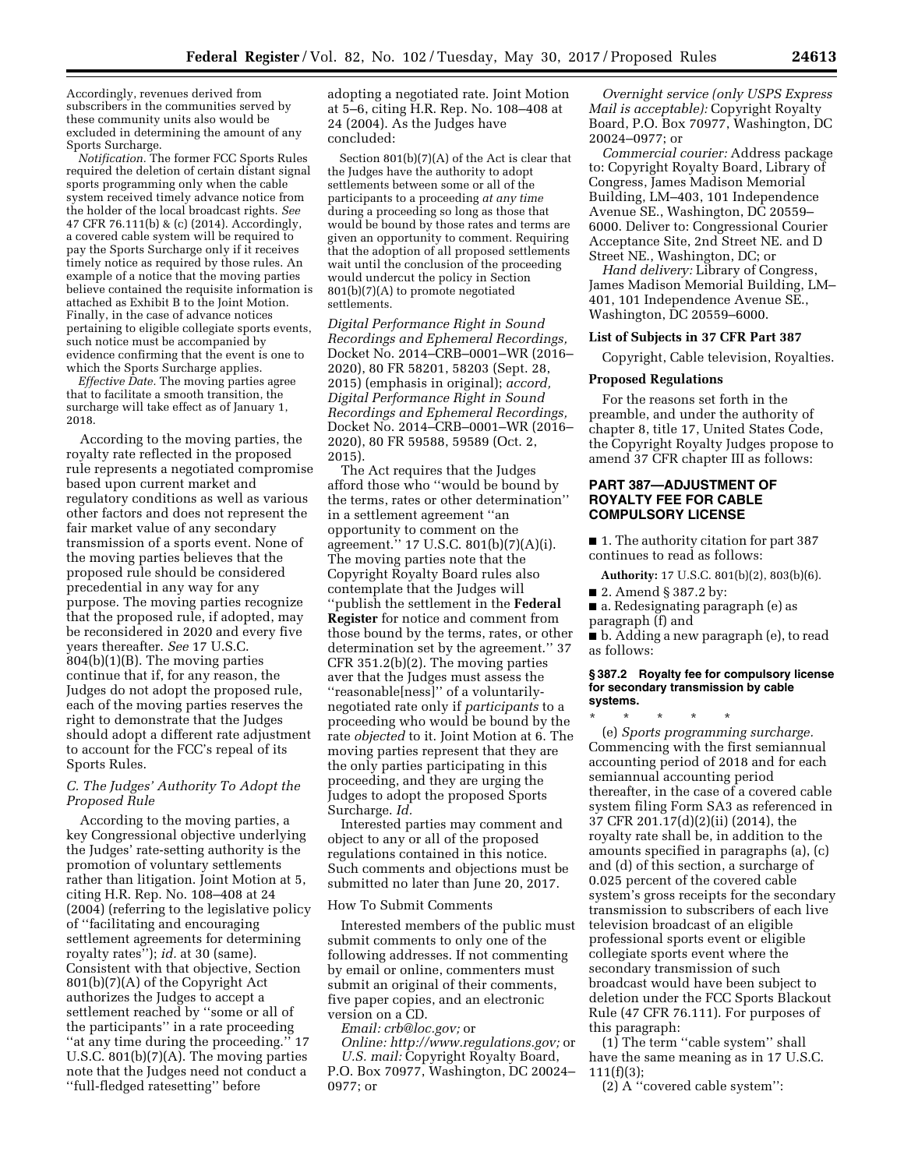Accordingly, revenues derived from subscribers in the communities served by these community units also would be excluded in determining the amount of any Sports Surcharge.

*Notification.* The former FCC Sports Rules required the deletion of certain distant signal sports programming only when the cable system received timely advance notice from the holder of the local broadcast rights. *See*  47 CFR 76.111(b) & (c) (2014). Accordingly, a covered cable system will be required to pay the Sports Surcharge only if it receives timely notice as required by those rules. An example of a notice that the moving parties believe contained the requisite information is attached as Exhibit B to the Joint Motion. Finally, in the case of advance notices pertaining to eligible collegiate sports events, such notice must be accompanied by evidence confirming that the event is one to which the Sports Surcharge applies.

*Effective Date.* The moving parties agree that to facilitate a smooth transition, the surcharge will take effect as of January 1, 2018.

According to the moving parties, the royalty rate reflected in the proposed rule represents a negotiated compromise based upon current market and regulatory conditions as well as various other factors and does not represent the fair market value of any secondary transmission of a sports event. None of the moving parties believes that the proposed rule should be considered precedential in any way for any purpose. The moving parties recognize that the proposed rule, if adopted, may be reconsidered in 2020 and every five years thereafter. *See* 17 U.S.C. 804(b)(1)(B). The moving parties continue that if, for any reason, the Judges do not adopt the proposed rule, each of the moving parties reserves the right to demonstrate that the Judges should adopt a different rate adjustment to account for the FCC's repeal of its Sports Rules.

## *C. The Judges' Authority To Adopt the Proposed Rule*

According to the moving parties, a key Congressional objective underlying the Judges' rate-setting authority is the promotion of voluntary settlements rather than litigation. Joint Motion at 5, citing H.R. Rep. No. 108–408 at 24 (2004) (referring to the legislative policy of ''facilitating and encouraging settlement agreements for determining royalty rates''); *id.* at 30 (same). Consistent with that objective, Section 801(b)(7)(A) of the Copyright Act authorizes the Judges to accept a settlement reached by ''some or all of the participants'' in a rate proceeding ''at any time during the proceeding.'' 17 U.S.C. 801(b)(7)(A). The moving parties note that the Judges need not conduct a ''full-fledged ratesetting'' before

adopting a negotiated rate. Joint Motion at 5–6, citing H.R. Rep. No. 108–408 at 24 (2004). As the Judges have concluded:

Section 801(b)(7)(A) of the Act is clear that the Judges have the authority to adopt settlements between some or all of the participants to a proceeding *at any time*  during a proceeding so long as those that would be bound by those rates and terms are given an opportunity to comment. Requiring that the adoption of all proposed settlements wait until the conclusion of the proceeding would undercut the policy in Section 801(b)(7)(A) to promote negotiated settlements.

*Digital Performance Right in Sound Recordings and Ephemeral Recordings,*  Docket No. 2014–CRB–0001–WR (2016– 2020), 80 FR 58201, 58203 (Sept. 28, 2015) (emphasis in original); *accord, Digital Performance Right in Sound Recordings and Ephemeral Recordings,*  Docket No. 2014–CRB–0001–WR (2016– 2020), 80 FR 59588, 59589 (Oct. 2, 2015).

The Act requires that the Judges afford those who ''would be bound by the terms, rates or other determination'' in a settlement agreement ''an opportunity to comment on the agreement.'' 17 U.S.C. 801(b)(7)(A)(i). The moving parties note that the Copyright Royalty Board rules also contemplate that the Judges will ''publish the settlement in the **Federal Register** for notice and comment from those bound by the terms, rates, or other determination set by the agreement.'' 37 CFR 351.2(b)(2). The moving parties aver that the Judges must assess the ''reasonable[ness]'' of a voluntarilynegotiated rate only if *participants* to a proceeding who would be bound by the rate *objected* to it. Joint Motion at 6. The moving parties represent that they are the only parties participating in this proceeding, and they are urging the Judges to adopt the proposed Sports Surcharge. *Id.* 

Interested parties may comment and object to any or all of the proposed regulations contained in this notice. Such comments and objections must be submitted no later than June 20, 2017.

#### How To Submit Comments

Interested members of the public must submit comments to only one of the following addresses. If not commenting by email or online, commenters must submit an original of their comments, five paper copies, and an electronic version on a CD.

*Email: [crb@loc.gov;](mailto:crb@loc.gov)* or

*Online: [http://www.regulations.gov;](http://www.regulations.gov)* or *U.S. mail:* Copyright Royalty Board, P.O. Box 70977, Washington, DC 20024– 0977; or

*Overnight service (only USPS Express Mail is acceptable):* Copyright Royalty Board, P.O. Box 70977, Washington, DC 20024–0977; or

*Commercial courier:* Address package to: Copyright Royalty Board, Library of Congress, James Madison Memorial Building, LM–403, 101 Independence Avenue SE., Washington, DC 20559– 6000. Deliver to: Congressional Courier Acceptance Site, 2nd Street NE. and D Street NE., Washington, DC; or

*Hand delivery:* Library of Congress, James Madison Memorial Building, LM– 401, 101 Independence Avenue SE., Washington, DC 20559–6000.

#### **List of Subjects in 37 CFR Part 387**

Copyright, Cable television, Royalties.

#### **Proposed Regulations**

For the reasons set forth in the preamble, and under the authority of chapter 8, title 17, United States Code, the Copyright Royalty Judges propose to amend 37 CFR chapter III as follows:

## **PART 387—ADJUSTMENT OF ROYALTY FEE FOR CABLE COMPULSORY LICENSE**

■ 1. The authority citation for part 387 continues to read as follows:

**Authority:** 17 U.S.C. 801(b)(2), 803(b)(6).

■ 2. Amend § 387.2 by:

■ a. Redesignating paragraph (e) as paragraph (f) and

■ b. Adding a new paragraph (e), to read as follows:

#### **§ 387.2 Royalty fee for compulsory license for secondary transmission by cable systems.**

\* \* \* \* \*

(e) *Sports programming surcharge.*  Commencing with the first semiannual accounting period of 2018 and for each semiannual accounting period thereafter, in the case of a covered cable system filing Form SA3 as referenced in 37 CFR 201.17(d)(2)(ii) (2014), the royalty rate shall be, in addition to the amounts specified in paragraphs (a), (c) and (d) of this section, a surcharge of 0.025 percent of the covered cable system's gross receipts for the secondary transmission to subscribers of each live television broadcast of an eligible professional sports event or eligible collegiate sports event where the secondary transmission of such broadcast would have been subject to deletion under the FCC Sports Blackout Rule (47 CFR 76.111). For purposes of this paragraph:

(1) The term ''cable system'' shall have the same meaning as in 17 U.S.C.  $111(f)(3);$ 

(2) A ''covered cable system'':